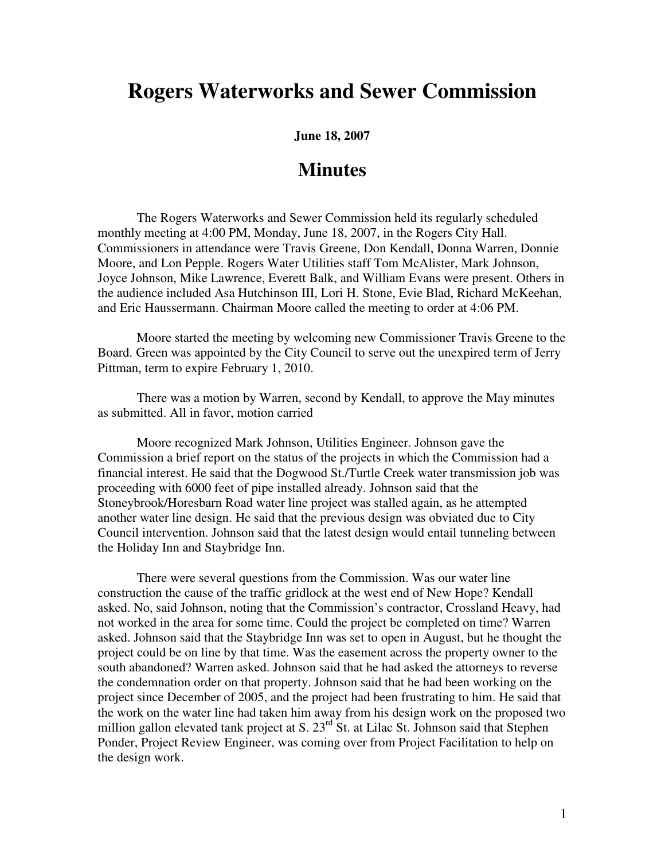## **Rogers Waterworks and Sewer Commission**

**June 18, 2007** 

## **Minutes**

The Rogers Waterworks and Sewer Commission held its regularly scheduled monthly meeting at 4:00 PM, Monday, June 18, 2007, in the Rogers City Hall. Commissioners in attendance were Travis Greene, Don Kendall, Donna Warren, Donnie Moore, and Lon Pepple. Rogers Water Utilities staff Tom McAlister, Mark Johnson, Joyce Johnson, Mike Lawrence, Everett Balk, and William Evans were present. Others in the audience included Asa Hutchinson III, Lori H. Stone, Evie Blad, Richard McKeehan, and Eric Haussermann. Chairman Moore called the meeting to order at 4:06 PM.

Moore started the meeting by welcoming new Commissioner Travis Greene to the Board. Green was appointed by the City Council to serve out the unexpired term of Jerry Pittman, term to expire February 1, 2010.

There was a motion by Warren, second by Kendall, to approve the May minutes as submitted. All in favor, motion carried

Moore recognized Mark Johnson, Utilities Engineer. Johnson gave the Commission a brief report on the status of the projects in which the Commission had a financial interest. He said that the Dogwood St./Turtle Creek water transmission job was proceeding with 6000 feet of pipe installed already. Johnson said that the Stoneybrook/Horesbarn Road water line project was stalled again, as he attempted another water line design. He said that the previous design was obviated due to City Council intervention. Johnson said that the latest design would entail tunneling between the Holiday Inn and Staybridge Inn.

There were several questions from the Commission. Was our water line construction the cause of the traffic gridlock at the west end of New Hope? Kendall asked. No, said Johnson, noting that the Commission's contractor, Crossland Heavy, had not worked in the area for some time. Could the project be completed on time? Warren asked. Johnson said that the Staybridge Inn was set to open in August, but he thought the project could be on line by that time. Was the easement across the property owner to the south abandoned? Warren asked. Johnson said that he had asked the attorneys to reverse the condemnation order on that property. Johnson said that he had been working on the project since December of 2005, and the project had been frustrating to him. He said that the work on the water line had taken him away from his design work on the proposed two million gallon elevated tank project at S. 23<sup>rd</sup> St. at Lilac St. Johnson said that Stephen Ponder, Project Review Engineer, was coming over from Project Facilitation to help on the design work.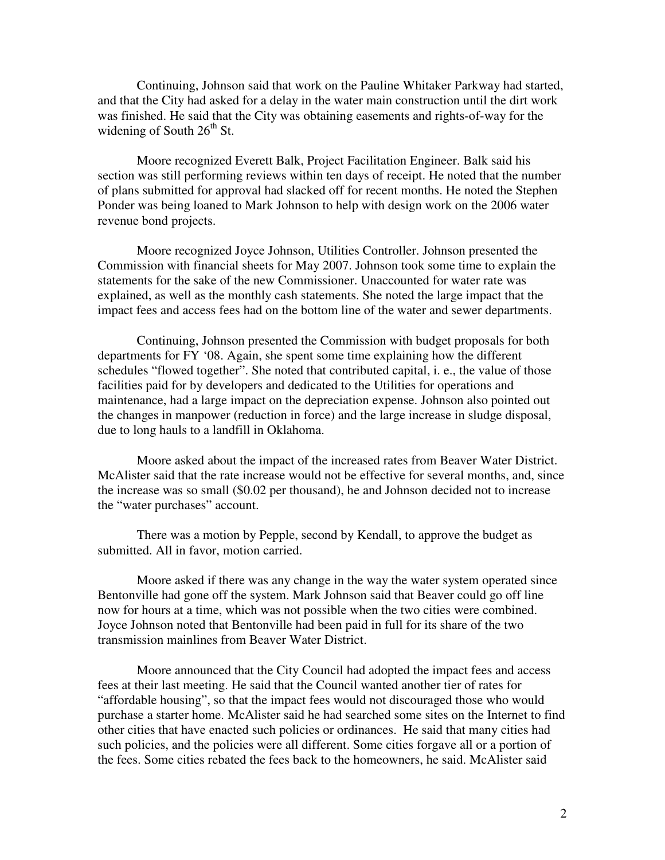Continuing, Johnson said that work on the Pauline Whitaker Parkway had started, and that the City had asked for a delay in the water main construction until the dirt work was finished. He said that the City was obtaining easements and rights-of-way for the widening of South  $26<sup>th</sup>$  St.

Moore recognized Everett Balk, Project Facilitation Engineer. Balk said his section was still performing reviews within ten days of receipt. He noted that the number of plans submitted for approval had slacked off for recent months. He noted the Stephen Ponder was being loaned to Mark Johnson to help with design work on the 2006 water revenue bond projects.

Moore recognized Joyce Johnson, Utilities Controller. Johnson presented the Commission with financial sheets for May 2007. Johnson took some time to explain the statements for the sake of the new Commissioner. Unaccounted for water rate was explained, as well as the monthly cash statements. She noted the large impact that the impact fees and access fees had on the bottom line of the water and sewer departments.

Continuing, Johnson presented the Commission with budget proposals for both departments for FY '08. Again, she spent some time explaining how the different schedules "flowed together". She noted that contributed capital, i. e., the value of those facilities paid for by developers and dedicated to the Utilities for operations and maintenance, had a large impact on the depreciation expense. Johnson also pointed out the changes in manpower (reduction in force) and the large increase in sludge disposal, due to long hauls to a landfill in Oklahoma.

Moore asked about the impact of the increased rates from Beaver Water District. McAlister said that the rate increase would not be effective for several months, and, since the increase was so small (\$0.02 per thousand), he and Johnson decided not to increase the "water purchases" account.

There was a motion by Pepple, second by Kendall, to approve the budget as submitted. All in favor, motion carried.

Moore asked if there was any change in the way the water system operated since Bentonville had gone off the system. Mark Johnson said that Beaver could go off line now for hours at a time, which was not possible when the two cities were combined. Joyce Johnson noted that Bentonville had been paid in full for its share of the two transmission mainlines from Beaver Water District.

Moore announced that the City Council had adopted the impact fees and access fees at their last meeting. He said that the Council wanted another tier of rates for "affordable housing", so that the impact fees would not discouraged those who would purchase a starter home. McAlister said he had searched some sites on the Internet to find other cities that have enacted such policies or ordinances. He said that many cities had such policies, and the policies were all different. Some cities forgave all or a portion of the fees. Some cities rebated the fees back to the homeowners, he said. McAlister said